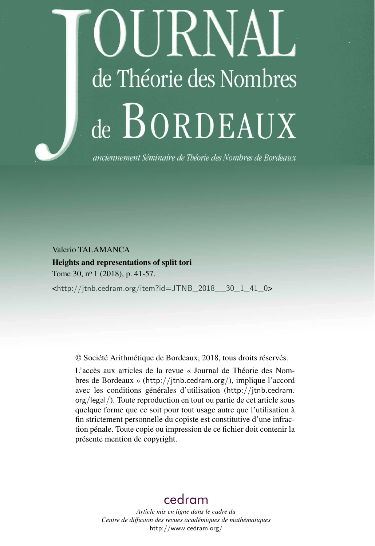# )URNAL de Théorie des Nombres de BORDEAUX

anciennement Séminaire de Théorie des Nombres de Bordeaux

Valerio TALAMANCA

Heights and representations of split tori Tome 30, n<sup>o</sup> 1 (2018), p. 41-57.

<[http://jtnb.cedram.org/item?id=JTNB\\_2018\\_\\_30\\_1\\_41\\_0](http://jtnb.cedram.org/item?id=JTNB_2018__30_1_41_0)>

© Société Arithmétique de Bordeaux, 2018, tous droits réservés.

L'accès aux articles de la revue « Journal de Théorie des Nombres de Bordeaux » (<http://jtnb.cedram.org/>), implique l'accord avec les conditions générales d'utilisation ([http://jtnb.cedram.](http://jtnb.cedram.org/legal/) [org/legal/](http://jtnb.cedram.org/legal/)). Toute reproduction en tout ou partie de cet article sous quelque forme que ce soit pour tout usage autre que l'utilisation à fin strictement personnelle du copiste est constitutive d'une infraction pénale. Toute copie ou impression de ce fichier doit contenir la présente mention de copyright.

# [cedram](http://www.cedram.org/)

*Article mis en ligne dans le cadre du Centre de diffusion des revues académiques de mathématiques* <http://www.cedram.org/>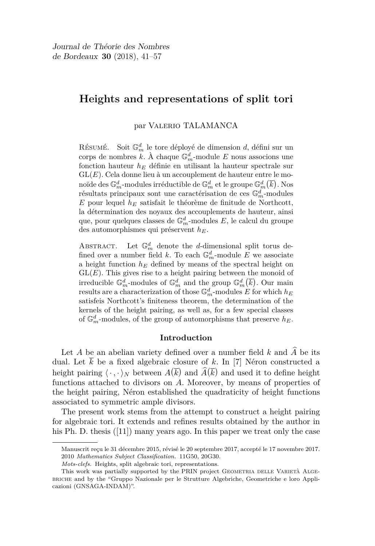## **Heights and representations of split tori**

par Valerio TALAMANCA

Résumé. Soit  $\mathbb{G}_m^d$  le tore déployé de dimension  $d,$  défini sur un corps de nombres  $k$ . À chaque  $\mathbb{G}_m^d$ -module  $E$  nous associons une fonction hauteur *h<sup>E</sup>* définie en utilisant la hauteur spectrale sur GL(*E*). Cela donne lieu à un accouplement de hauteur entre le monoïde des  $\mathbb{G}_m^d$ -modules irréductible de  $\mathbb{G}_m^d$  et le groupe  $\mathbb{G}_m^d(\overline{k})$ . Nos résultats principaux sont une caractérisation de ces G*<sup>d</sup> <sup>m</sup>*-modules *E* pour lequel *h<sup>E</sup>* satisfait le théorème de finitude de Northcott, la détermination des noyaux des accouplements de hauteur, ainsi que, pour quelques classes de  $\mathbb{G}_m^d\text{-modules }E,$  le calcul du groupe des automorphismes qui préservent *hE*.

ABSTRACT. Let  $\mathbb{G}_m^d$  denote the *d*-dimensional split torus defined over a number field k. To each  $\mathbb{G}_m^d$ -module E we associate a height function *h<sup>E</sup>* defined by means of the spectral height on  $GL(E)$ . This gives rise to a height pairing between the monoid of irreducible  $\mathbb{G}_m^d$ -modules of  $\mathbb{G}_m^d$  and the group  $\mathbb{G}_m^d(\overline{k})$ . Our main results are a characterization of those  $\mathbb{G}_m^d$ -modules *E* for which  $h_E$ satisfeis Northcott's finiteness theorem, the determination of the kernels of the height pairing, as well as, for a few special classes of  $\mathbb{G}_m^d$ -modules, of the group of automorphisms that preserve  $h_E$ .

#### **Introduction**

Let  $A$  be an abelian variety defined over a number field  $k$  and  $\hat{A}$  be its dual. Let  $\overline{k}$  be a fixed algebraic closure of k. In [\[7\]](#page-16-0) Néron constructed a height pairing  $\langle \cdot, \cdot \rangle_N$  between  $A(\overline{k})$  and  $\widehat{A}(\overline{k})$  and used it to define height functions attached to divisors on *A*. Moreover, by means of properties of the height pairing, Néron established the quadraticity of height functions associated to symmetric ample divisors.

The present work stems from the attempt to construct a height pairing for algebraic tori. It extends and refines results obtained by the author in his Ph. D. thesis  $([11])$  $([11])$  $([11])$  many years ago. In this paper we treat only the case

Manuscrit reçu le 31 décembre 2015, révisé le 20 septembre 2017, accepté le 17 novembre 2017. 2010 *Mathematics Subject Classification.* 11G50, 20G30.

*Mots-clefs.* Heights, split algebraic tori, representations.

This work was partially supported by the PRIN project GEOMETRIA DELLE VARIETÀ ALGEbriche and by the "Gruppo Nazionale per le Strutture Algebriche, Geometriche e loro Applicazioni (GNSAGA-INDAM)".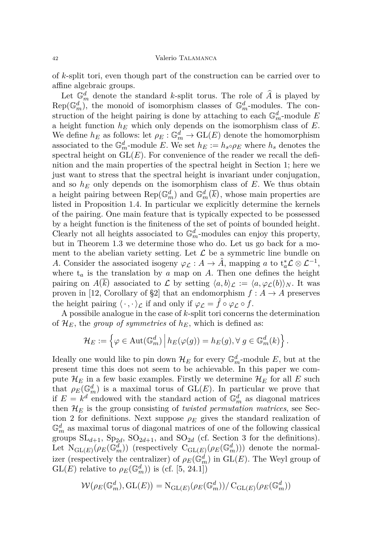of *k*-split tori, even though part of the construction can be carried over to affine algebraic groups.

Let  $\mathbb{G}_m^d$  denote the standard *k*-split torus. The role of  $\hat{A}$  is played by  $Rep(\mathbb{G}_m^d)$ , the monoid of isomorphism classes of  $\mathbb{G}_m^d$ -modules. The construction of the height pairing is done by attaching to each  $\mathbb{G}_m^d$ -module *E* a height function *h<sup>E</sup>* which only depends on the isomorphism class of *E*. We define  $h_E$  as follows: let  $\rho_E : \mathbb{G}_m^d \to \mathrm{GL}(E)$  denote the homomorphism associated to the  $\mathbb{G}_m^d$ -module *E*. We set  $h_E := h_s \circ \rho_E$  where  $h_s$  denotes the spectral height on  $GL(E)$ . For convenience of the reader we recall the definition and the main properties of the spectral height in Section [1;](#page-3-0) here we just want to stress that the spectral height is invariant under conjugation, and so  $h_E$  only depends on the isomorphism class of  $E$ . We thus obtain a height pairing between  $\text{Rep}(\mathbb{G}_m^d)$  and  $\mathbb{G}_m^d(\overline{k})$ , whose main properties are listed in Proposition [1.4.](#page-7-0) In particular we explicitly determine the kernels of the pairing. One main feature that is typically expected to be possessed by a height function is the finiteness of the set of points of bounded height. Clearly not all heights associated to  $\mathbb{G}_m^d$ -modules can enjoy this property, but in Theorem [1.3](#page-6-0) we determine those who do. Let us go back for a moment to the abelian variety setting. Let  $\mathcal L$  be a symmetric line bundle on *A*. Consider the associated isogeny  $\varphi_{\mathcal{L}}: A \to \hat{A}$ , mapping *a* to  $t_a^* \mathcal{L} \otimes \mathcal{L}^{-1}$ , where  $t_a$  is the translation by  $a$  map on  $A$ . Then one defines the height pairing on  $A(\overline{k})$  associated to  $\mathcal L$  by setting  $\langle a, b \rangle_{\mathcal L} := \langle a, \varphi_{\mathcal L}(b) \rangle_N$ . It was proven in [\[12,](#page-16-2) Corollary of §2] that an endomorphism  $f : A \to A$  preserves the height pairing  $\langle \cdot, \cdot \rangle_{\mathcal{L}}$  if and only if  $\varphi_{\mathcal{L}} = \hat{f} \circ \varphi_{\mathcal{L}} \circ f$ .

A possibile analogue in the case of *k*-split tori concerns the determination of  $\mathcal{H}_E$ , the *group of symmetries* of  $h_E$ , which is defined as:

$$
\mathcal{H}_E := \left\{ \varphi \in \text{Aut}(\mathbb{G}_m^d) \, \middle| \, h_E(\varphi(g)) = h_E(g), \forall \, g \in \mathbb{G}_m^d(k) \right\}.
$$

Ideally one would like to pin down  $\mathcal{H}_E$  for every  $\mathbb{G}_m^d$ -module  $E$ , but at the present time this does not seem to be achievable. In this paper we compute  $\mathcal{H}_E$  in a few basic examples. Firstly we determine  $\mathcal{H}_E$  for all  $E$  such that  $\rho_E(\mathbb{G}_m^d)$  is a maximal torus of  $\operatorname{GL}(E)$ . In particular we prove that if  $E = k^d$  endowed with the standard action of  $\mathbb{G}_m^d$  as diagonal matrices then  $\mathcal{H}_E$  is the group consisting of *twisted permutation matrices*, see Sec-tion [2](#page-8-0) for definitions. Next suppose  $\rho_E$  gives the standard realization of  $\mathbb{G}_m^d$  as maximal torus of diagonal matrices of one of the following classical groups  $SL_{d+1}$ ,  $Sp_{2d}$ ,  $SO_{2d+1}$ , and  $SO_{2d}$  (cf. Section [3](#page-11-0) for the definitions). Let  $N_{\text{GL}(E)}(\rho_E(\mathbb{G}_m^d))$  (respectively  $\text{C}_{\text{GL}(E)}(\rho_E(\mathbb{G}_m^d)))$  denote the normalizer (respectively the centralizer) of  $\rho_E(\mathbb{G}_m^d)$  in  $\mathrm{GL}(E)$ . The Weyl group of  $\text{GL}(E)$  relative to  $\rho_E(\mathbb{G}_m^d)$ ) is (cf. [\[5,](#page-16-3) 24.1])

$$
\mathcal{W}(\rho_E(\mathbb{G}_m^d), \operatorname{GL}(E)) = \mathrm{N}_{\operatorname{GL}(E)}(\rho_E(\mathbb{G}_m^d))/\operatorname{C}_{\operatorname{GL}(E)}(\rho_E(\mathbb{G}_m^d))
$$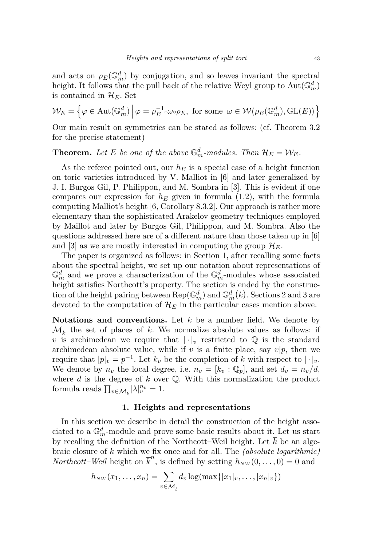and acts on  $\rho_E(\mathbb{G}_m^d)$  by conjugation, and so leaves invariant the spectral height. It follows that the pull back of the relative Weyl group to  $\text{Aut}(\mathbb{G}_m^d)$ is contained in  $\mathcal{H}_E$ . Set

$$
\mathcal{W}_E = \left\{ \varphi \in \text{Aut}(\mathbb{G}_m^d) \, \middle| \, \varphi = \rho_E^{-1} \circ \omega \circ \rho_E, \text{ for some } \omega \in \mathcal{W}(\rho_E(\mathbb{G}_m^d), GL(E)) \right\}
$$

Our main result on symmetries can be stated as follows: (cf. Theorem [3.2](#page-12-0) for the precise statement)

**Theorem.** Let E be one of the above  $\mathbb{G}_m^d$ -modules. Then  $\mathcal{H}_E = \mathcal{W}_E$ .

As the referee pointed out, our  $h_E$  is a special case of a height function on toric varieties introduced by V. Malliot in [\[6\]](#page-16-4) and later generalized by J. I. Burgos Gil, P. Philippon, and M. Sombra in [\[3\]](#page-16-5). This is evident if one compares our expression for  $h_E$  given in formula [\(1.2\)](#page-6-1), with the formula computing Malliot's height [\[6,](#page-16-4) Corollary 8.3.2]. Our approach is rather more elementary than the sophisticated Arakelov geometry techniques employed by Maillot and later by Burgos Gil, Philippon, and M. Sombra. Also the questions addressed here are of a different nature than those taken up in [\[6\]](#page-16-4) and [\[3\]](#page-16-5) as we are mostly interested in computing the group  $\mathcal{H}_E$ .

The paper is organized as follows: in Section [1,](#page-3-0) after recalling some facts about the spectral height, we set up our notation about representations of  $\mathbb{G}_m^d$  and we prove a characterization of the  $\mathbb{G}_m^d$ -modules whose associated height satisfies Northcott's property. The section is ended by the construction of the height pairing between  $\text{Rep}(\mathbb{G}_m^d)$  and  $\mathbb{G}_m^d(\overline{k})$ . Sections [2](#page-8-0) and [3](#page-11-0) are devoted to the computation of  $\mathcal{H}_E$  in the particular cases mention above.

**Notations and conventions.** Let *k* be a number field. We denote by  $\mathcal{M}_k$  the set of places of *k*. We normalize absolute values as follows: if *v* is archimedean we require that  $|\cdot|_v$  restricted to  $\mathbb Q$  is the standard archimedean absolute value, while if  $v$  is a finite place, say  $v|p$ , then we require that  $|p|_v = p^{-1}$ . Let  $k_v$  be the completion of  $k$  with respect to  $|\cdot|_v$ . We denote by  $n_v$  the local degree, i.e.  $n_v = [k_v : \mathbb{Q}_p]$ , and set  $d_v = n_v/d$ , where *d* is the degree of *k* over Q. With this normalization the product formula reads  $\prod_{v \in \mathcal{M}_k} |\lambda|_v^{n_v} = 1.$ 

#### **1. Heights and representations**

<span id="page-3-0"></span>In this section we describe in detail the construction of the height associated to a  $\mathbb{G}_m^d$ -module and prove some basic results about it. Let us start by recalling the definition of the Northcott–Weil height. Let  $\overline{k}$  be an algebraic closure of *k* which we fix once and for all. The *(absolute logarithmic) Northcott–Weil* height on  $\overline{k}^n$ , is defined by setting  $h_{NW}(0,\ldots,0) = 0$  and

$$
h_{NW}(x_1,\ldots,x_n)=\sum_{v\in\mathcal{M}_l}d_v\log(\max\{|x_1|_v,\ldots,|x_n|_v\})
$$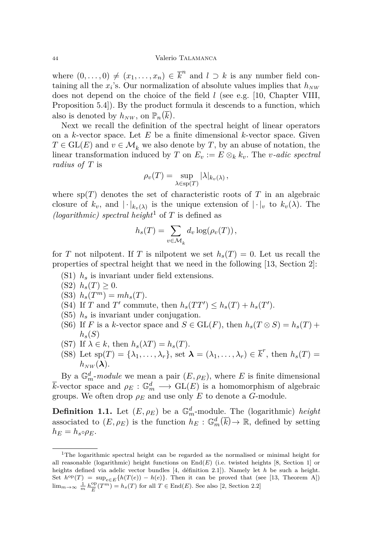where  $(0, \ldots, 0) \neq (x_1, \ldots, x_n) \in \overline{k}^n$  and  $l \supset k$  is any number field containing all the  $x_i$ 's. Our normalization of absolute values implies that  $h_{NW}$ does not depend on the choice of the field *l* (see e.g. [\[10,](#page-16-6) Chapter VIII, Proposition 5.4]). By the product formula it descends to a function, which also is denoted by  $h_{NW}$ , on  $\mathbb{P}_n(\overline{k})$ .

Next we recall the definition of the spectral height of linear operators on a *k*-vector space. Let *E* be a finite dimensional *k*-vector space. Given  $T \in GL(E)$  and  $v \in \mathcal{M}_k$  we also denote by *T*, by an abuse of notation, the linear transformation induced by *T* on  $E_v := E \otimes_k k_v$ . The *v*-adic spectral *radius of T* is

$$
\rho_v(T) = \sup_{\lambda \in \text{sp}(T)} |\lambda|_{k_v(\lambda)},
$$

where  $sp(T)$  denotes the set of characteristic roots of T in an algebraic closure of  $k_v$ , and  $|\cdot|_{k_v(\lambda)}$  is the unique extension of  $|\cdot|_v$  to  $k_v(\lambda)$ . The *(logarithmic) spectral height*<sup>1</sup> of *T* is defined as

$$
h_s(T) = \sum_{v \in \mathcal{M}_k} d_v \log(\rho_v(T)),
$$

for *T* not nilpotent. If *T* is nilpotent we set  $h_s(T) = 0$ . Let us recall the properties of spectral height that we need in the following [\[13,](#page-16-7) Section 2]:

- (S1) *h<sup>s</sup>* is invariant under field extensions.
- $(S2)$   $h_s(T) \geq 0$ .
- (S3)  $h_s(T^m) = mh_s(T)$ .
- (S4) If *T* and *T'* commute, then  $h_s(TT') \leq h_s(T) + h_s(T')$ .
- (S5) *h<sup>s</sup>* is invariant under conjugation.
- (S6) If *F* is a *k*-vector space and  $S \in GL(F)$ , then  $h_s(T \otimes S) = h_s(T) +$  $h_s(S)$
- (S7) If  $\lambda \in k$ , then  $h_s(\lambda T) = h_s(T)$ .
- (S8) Let  $sp(T) = \{\lambda_1, \ldots, \lambda_r\}$ , set  $\lambda = (\lambda_1, \ldots, \lambda_r) \in \overline{k}^r$ , then  $h_s(T) =$  $h_{NW}(\lambda)$ .

By a  $\mathbb{G}_m^d$ -*module* we mean a pair  $(E, \rho_E)$ , where *E* is finite dimensional  $\overline{k}$ -vector space and  $\rho_E : \mathbb{G}_m^d \longrightarrow GL(E)$  is a homomorphism of algebraic groups. We often drop  $\rho_E$  and use only *E* to denote a *G*-module.

**Definition 1.1.** Let  $(E, \rho_E)$  be a  $\mathbb{G}_m^d$ -module. The (logarithmic) *height* associated to  $(E, \rho_E)$  is the function  $h_E : \mathbb{G}_m^d(\overline{k}) \to \mathbb{R}$ , defined by setting  $h_E = h_s \circ \rho_E$ .

<sup>&</sup>lt;sup>1</sup>The logarithmic spectral height can be regarded as the normalised or minimal height for all reasonable (logarithmic) height functions on End(*E*) (i.e. twisted heights [\[8,](#page-16-8) Section 1] or heights defined via adelic vector bundles [\[4,](#page-16-9) définition 2.1]). Namely let *h* be such a height. Set  $h^{\text{op}}(T) = \sup_{e \in E} \{h(T(e)) - h(e)\}.$  Then it can be proved that (see [\[13,](#page-16-7) Theorem A]) lim<sub>*m*→∞  $\frac{1}{m} h_{\overline{E}}^{\text{op}}$ </sub>  $\frac{\text{op}}{E}(T^m) = h_s(T)$  for all  $T \in \text{End}(E)$ . See also [\[2,](#page-16-10) Section 2.2]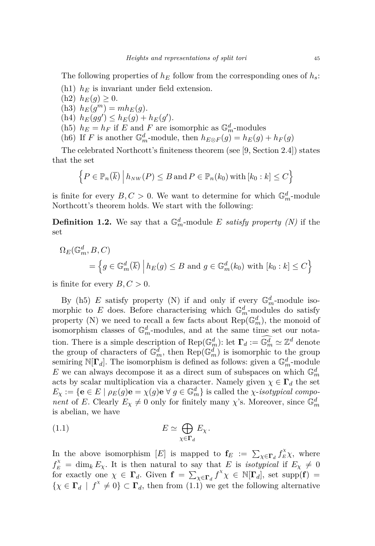The following properties of  $h_E$  follow from the corresponding ones of  $h_s$ :

- (h1) *h<sup>E</sup>* is invariant under field extension.
- <span id="page-5-4"></span><span id="page-5-3"></span> $(h2)$   $h_E(g) \geq 0.$ (h3)  $h_E(g^m) = mh_E(g)$ . (h4)  $h_E(gg') \leq h_E(g) + h_E(g')$ . (h5)  $h_E = h_F$  if *E* and *F* are isomorphic as  $\mathbb{G}_m^d$ -modules (h6) If *F* is another  $\mathbb{G}_m^d$ -module, then  $h_{E \otimes F}(g) = h_E(g) + h_F(g)$

<span id="page-5-2"></span><span id="page-5-0"></span>The celebrated Northcott's finiteness theorem (see [\[9,](#page-16-11) Section 2.4]) states that the set

$$
\left\{ P \in \mathbb{P}_n(\overline{k}) \mid h_{NW}(P) \leq B \text{ and } P \in \mathbb{P}_n(k_0) \text{ with } [k_0 : k] \leq C \right\}
$$

is finite for every  $B, C > 0$ . We want to determine for which  $\mathbb{G}_m^d$ -module Northcott's theorem holds. We start with the following:

**Definition 1.2.** We say that a  $\mathbb{G}_m^d$ -module *E satisfy property (N)* if the set

$$
\Omega_E(\mathbb{G}_m^d, B, C)
$$
  
=  $\{g \in \mathbb{G}_m^d(\overline{k}) \mid h_E(g) \le B \text{ and } g \in \mathbb{G}_m^d(k_0) \text{ with } [k_0 : k] \le C\}$ 

is finite for every  $B, C > 0$ .

By [\(h5\)](#page-5-0) *E* satisfy property (N) if and only if every  $\mathbb{G}_m^d$ -module isomorphic to *E* does. Before characterising which  $\mathbb{G}_m^d$ -modules do satisfy property (N) we need to recall a few facts about  $\text{Rep}(\mathbb{G}_m^d)$ , the monoid of isomorphism classes of  $\mathbb{G}_m^d$ -modules, and at the same time set our notation. There is a simple description of  $\text{Rep}(\mathbb{G}_m^d)$ : let  $\Gamma_d := \widehat{\mathbb{G}_m^d} \simeq \mathbb{Z}^d$  denote the group of characters of  $\mathbb{G}_m^d$ , then  $\text{Rep}(\mathbb{G}_m^d)$  is isomorphic to the group semiring  $\mathbb{N}[\Gamma_d]$ . The isomorphism is defined as follows: given a  $\mathbb{G}_m^d$ -module *E* we can always decompose it as a direct sum of subspaces on which  $\mathbb{G}_m^d$ acts by scalar multiplication via a character. Namely given  $\chi \in \Gamma_d$  the set  $E_{\chi} := \{ \mathbf{e} \in E \mid \rho_E(g) \mathbf{e} = \chi(g) \mathbf{e} \ \forall \ g \in \mathbb{G}_m^d \}$  is called the *χ*-*isotypical component* of *E*. Clearly  $E_{\chi} \neq 0$  only for finitely many *χ*'s. Moreover, since  $\mathbb{G}_m^d$ is abelian, we have

<span id="page-5-1"></span>
$$
(1.1) \t\t\t\t E \simeq \bigoplus_{\chi \in \Gamma_d} E_{\chi}.
$$

In the above isomorphism  $[E]$  is mapped to  $\mathbf{f}_E := \sum_{\chi \in \mathbf{\Gamma}_d} f_E^{\chi} \chi$ , where  $f_E^{\chi} = \dim_k E_{\chi}$ . It is then natural to say that *E* is *isotypical* if  $E_{\chi} \neq 0$ for exactly one  $\chi \in \Gamma_d$ . Given  $\mathbf{f} = \sum_{\chi \in \Gamma_d} f^{\chi} \chi \in \mathbb{N}[\Gamma_d]$ , set supp $(\mathbf{f}) =$  $\{\chi \in \Gamma_d \mid f^\chi \neq 0\} \subset \Gamma_d$ , then from  $(1.1)$  we get the following alternative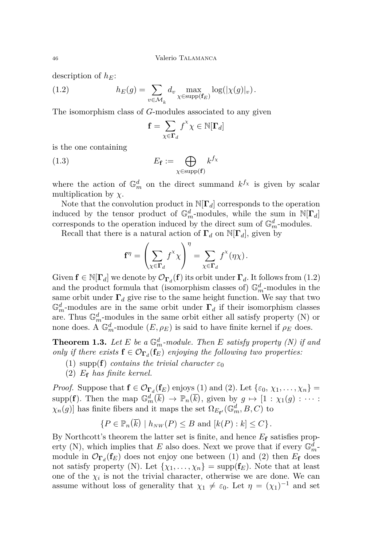description of *hE*:

(1.2) 
$$
h_E(g) = \sum_{v \in \mathcal{M}_k} d_v \max_{\chi \in \text{supp}(\mathbf{f}_E)} \log(|\chi(g)|_v).
$$

The isomorphism class of *G*-modules associated to any given

<span id="page-6-1"></span>
$$
\mathbf{f} = \sum_{\chi \in \mathbf{\Gamma}_d} f^\chi \chi \in \mathbb{N}[\mathbf{\Gamma}_d]
$$

is the one containing

(1.3) 
$$
E_{\mathbf{f}} := \bigoplus_{\chi \in \text{supp}(\mathbf{f})} k^{f_{\chi}}
$$

where the action of  $\mathbb{G}_m^d$  on the direct summand  $k^{f_\chi}$  is given by scalar multiplication by *χ*.

Note that the convolution product in N[**Γ***d*] corresponds to the operation induced by the tensor product of  $\mathbb{G}_m^d$ -modules, while the sum in  $\mathbb{N}[\Gamma_d]$ corresponds to the operation induced by the direct sum of  $\mathbb{G}_m^d$ -modules.

Recall that there is a natural action of  $\Gamma_d$  on  $N[\Gamma_d]$ , given by

$$
\mathbf{f}^{\eta} = \left(\sum_{\chi \in \mathbf{\Gamma}_d} f^{\chi} \chi\right)^{\eta} = \sum_{\chi \in \mathbf{\Gamma}_d} f^{\chi}(\eta \chi).
$$

Given  $f \in \mathbb{N}[\Gamma_d]$  we denote by  $\mathcal{O}_{\Gamma_d}(f)$  its orbit under  $\Gamma_d$ . It follows from [\(1.2\)](#page-6-1) and the product formula that (isomorphism classes of)  $\mathbb{G}_m^d$ -modules in the same orbit under  $\Gamma_d$  give rise to the same height function. We say that two  $\mathbb{G}_m^d$ -modules are in the same orbit under  $\Gamma_d$  if their isomorphism classes are. Thus  $\mathbb{G}_m^d$ -modules in the same orbit either all satisfy property (N) or none does. A  $\mathbb{G}_m^d$ -module  $(E, \rho_E)$  is said to have finite kernel if  $\rho_E$  does.

<span id="page-6-0"></span>**Theorem 1.3.** Let  $E$  be a  $\mathbb{G}_m^d$ -module. Then  $E$  satisfy property (N) if and *only if there exists*  $\mathbf{f} \in \mathcal{O}_{\mathbf{\Gamma}_d}(\mathbf{f}_E)$  *enjoying the following two properties.* 

- <span id="page-6-2"></span>(1) supp(**f**) *contains the trivial character*  $\varepsilon_0$
- <span id="page-6-3"></span>(2) *E***<sup>f</sup>** *has finite kernel.*

*Proof.* Suppose that  $f \in \mathcal{O}_{\Gamma_d}(f_E)$  enjoys [\(1\)](#page-6-2) and [\(2\)](#page-6-3). Let  $\{\varepsilon_0, \chi_1, \ldots, \chi_n\}$ supp(**f**). Then the map  $\mathbb{G}_m^d(\overline{k}) \to \mathbb{P}_n(\overline{k})$ , given by  $g \mapsto [1 : \chi_1(g) : \cdots :$ *χ*<sub>*n*</sub>(*g*)] has finite fibers and it maps the set  $\Omega_{E_{f'}}(\mathbb{G}_m^d, B, C)$  to

$$
\{P \in \mathbb{P}_n(\overline{k}) \mid h_{NW}(P) \leq B \text{ and } [k(P):k] \leq C\}.
$$

By Northcott's theorem the latter set is finite, and hence *E***<sup>f</sup>** satisfies property (N), which implies that *E* also does. Next we prove that if every  $\mathbb{G}_m^{\bar{d}}$ . module in  $\mathcal{O}_{\Gamma_d}(\mathbf{f}_E)$  does not enjoy one between [\(1\)](#page-6-2) and [\(2\)](#page-6-3) then  $E_{\mathbf{f}}$  does not satisfy property (N). Let  $\{\chi_1, \ldots, \chi_n\} = \text{supp}(\mathbf{f}_E)$ . Note that at least one of the  $\chi_i$  is not the trivial character, otherwise we are done. We can assume without loss of generality that  $\chi_1 \neq \varepsilon_0$ . Let  $\eta = (\chi_1)^{-1}$  and set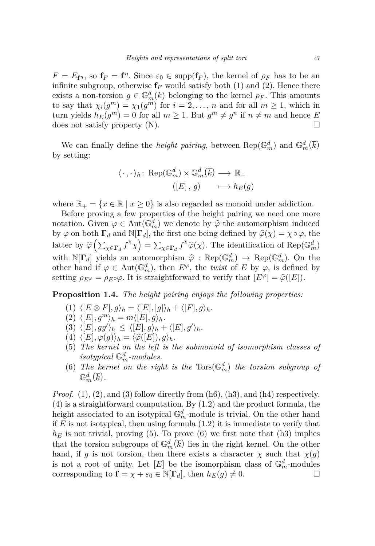$F = E_{f^{\eta}}$ , so  $f_F = f^{\eta}$ . Since  $\varepsilon_0 \in \text{supp}(f_F)$ , the kernel of  $\rho_F$  has to be an infinite subgroup, otherwise  $f_F$  would satisfy both [\(1\)](#page-6-2) and [\(2\)](#page-6-3). Hence there exists a non-torsion  $g \in \mathbb{G}_m^d(k)$  belonging to the kernel  $\rho_F$ . This amounts to say that  $\chi_i(g^m) = \chi_1(g^m)$  for  $i = 2, \ldots, n$  and for all  $m \ge 1$ , which in turn yields  $h_E(g^m) = 0$  for all  $m \ge 1$ . But  $g^m \ne g^n$  if  $n \ne m$  and hence *E* does not satisfy property  $(N)$ .

We can finally define the *height pairing*, between  $\text{Rep}(\mathbb{G}_m^d)$  and  $\mathbb{G}_m^d(\overline{k})$ by setting:

$$
\langle \cdot, \cdot \rangle_h \colon \operatorname{Rep}(\mathbb{G}_m^d) \times \mathbb{G}_m^d(\overline{k}) \longrightarrow \mathbb{R}_+ \\
([E], g) \longrightarrow h_E(g)
$$

where  $\mathbb{R}_+ = \{x \in \mathbb{R} \mid x \geq 0\}$  is also regarded as monoid under addiction.

Before proving a few properties of the height pairing we need one more notation. Given  $\varphi \in \text{Aut}(\mathbb{G}_m^d)$  we denote by  $\hat{\varphi}$  the automorphism induced<br>by  $\varphi$  on hath  $\Gamma$  and  $\mathbb{N}[\Gamma]$  the first are heing defined by  $\hat{\varphi}(\omega)$  and the by  $\varphi$  on both  $\Gamma_d$  and  $\mathbb{N}[\Gamma_d]$ , the first one being defined by  $\widehat{\varphi}(\chi) = \chi \circ \varphi$ , the latter by  $\hat{\varphi}\left(\sum_{\chi \in \Gamma_d} f^{\chi} \chi\right) = \sum_{\chi \in \Gamma_d} f^{\chi} \hat{\varphi}(\chi)$ . The identification of Rep( $\mathbb{G}_m^d$ ) with  $\mathbb{N}[\mathbf{F}_d]$  yields an automorphism  $\hat{\varphi}: \operatorname{Rep}(\mathbb{G}_m^d) \to \operatorname{Rep}(\mathbb{G}_m^d)$ . On the other hand if  $\varphi \in \text{Aut}(\mathbb{G}_m^d)$ , then  $E^{\varphi}$ , the *twist* of *E* by  $\varphi$ , is defined by setting  $\rho_{E^{\varphi}} = \rho_{E^{\circ}}\varphi$ . It is straightforward to verify that  $[E^{\varphi}] = \widehat{\varphi}([E]).$ 

<span id="page-7-1"></span><span id="page-7-0"></span>**Proposition 1.4.** *The height pairing enjoys the following properties:*

- (1)  $\langle [E \otimes F], g \rangle_h = \langle [E], [g] \rangle_h + \langle [F], g \rangle_h$ *.*
- <span id="page-7-2"></span> $\langle (2) \ \langle [E], g^m \rangle_h = m \langle [E], g \rangle_h.$
- <span id="page-7-3"></span> $\langle (3) \langle [E], gg' \rangle_h \leq \langle [E], g \rangle_h + \langle [E], g' \rangle_h.$
- <span id="page-7-4"></span> $(4) \langle [E], \varphi(g) \rangle_h = \langle \widehat{\varphi}([E]), g \rangle_h.$
- <span id="page-7-5"></span>(5) *The kernel on the left is the submonoid of isomorphism classes of*  $isotypical \mathbb{G}_m^d$ *-modules.*
- <span id="page-7-6"></span>(6) The kernel on the right is the  $Tors(\mathbb{G}_m^d)$  the torsion subgroup of  $\mathbb{G}_m^d(\overline{k})$ .

*Proof.*  $(1)$ ,  $(2)$ , and  $(3)$  follow directly from  $(h6)$ ,  $(h3)$ , and  $(h4)$  respectively. [\(4\)](#page-7-4) is a straightforward computation. By [\(1.2\)](#page-6-1) and the product formula, the height associated to an isotypical  $\mathbb{G}_m^d$ -module is trivial. On the other hand if *E* is not isotypical, then using formula [\(1.2\)](#page-6-1) it is immediate to verify that  $h_E$  is not trivial, proving [\(5\)](#page-7-5). To prove [\(6\)](#page-7-6) we first note that [\(h3\)](#page-5-3) implies that the torsion subgroups of  $\mathbb{G}_m^d(\overline{k})$  lies in the right kernel. On the other hand, if *g* is not torsion, then there exists a character  $\chi$  such that  $\chi(g)$ is not a root of unity. Let  $[E]$  be the isomorphism class of  $\mathbb{G}_m^d$ -modules corresponding to  $\mathbf{f} = \chi + \varepsilon_0 \in \mathbb{N}[\Gamma_d]$ , then  $h_E(g) \neq 0$ .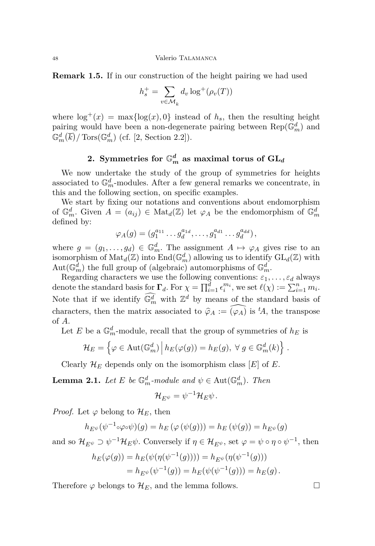**Remark 1.5.** If in our construction of the height pairing we had used

$$
h_s^+ = \sum_{v \in \mathcal{M}_k} d_v \log^+(\rho_v(T))
$$

where  $\log^+(x) = \max{\log(x), 0}$  instead of  $h_s$ , then the resulting height pairing would have been a non-degenerate pairing between  $\text{Rep}(\mathbb{G}_m^d)$  and  $\mathbb{G}_m^d(\overline{k})$  / Tors( $\mathbb{G}_m^d$ ) (cf. [\[2,](#page-16-10) Section 2.2]).

## 2. Symmetries for  $\mathbb{G}_m^d$  as maximal torus of  $\mathrm{GL}_d$

<span id="page-8-0"></span>We now undertake the study of the group of symmetries for heights associated to  $\mathbb{G}_m^d$ -modules. After a few general remarks we concentrate, in this and the following section, on specific examples.

We start by fixing our notations and conventions about endomorphism of  $\mathbb{G}_m^d$ . Given  $A = (a_{ij}) \in Mat_d(\mathbb{Z})$  let  $\varphi_A$  be the endomorphism of  $\mathbb{G}_m^d$ defined by:

$$
\varphi_A(g) = (g_1^{a_{11}} \dots g_d^{a_{1d}}, \dots, g_1^{a_{d1}} \dots g_d^{a_{dd}}),
$$

where  $g = (g_1, \ldots, g_d) \in \mathbb{G}_m^d$ . The assignment  $A \mapsto \varphi_A$  gives rise to an isomorphism of  $\text{Mat}_{d}(\mathbb{Z})$  into  $\text{End}(\mathbb{G}_{m}^{d})$  allowing us to identify  $\text{GL}_{d}(\mathbb{Z})$  with Aut $(\mathbb{G}_m^{\overline{d}})$  the full group of (algebraic) automorphisms of  $\mathbb{G}_m^{\overline{d}}$ .

Regarding characters we use the following conventions:  $\varepsilon_1, \ldots, \varepsilon_d$  always denote the standard basis for  $\Gamma_d$ . For  $\chi = \prod_{i=1}^{\overline{d}} \epsilon_i^{m_i}$ , we set  $\ell(\chi) := \sum_{i=1}^n m_i$ . Note that if we identify  $\widehat{\mathbb{G}_m^d}$  with  $\mathbb{Z}^d$  by means of the standard basis of characters, then the matrix associated to  $\hat{\varphi}_A := \widehat{(\varphi_A)}$  is <sup>*t*</sup>*A*, the transpose of *A*.

Let *E* be a  $\mathbb{G}_m^d$ -module, recall that the group of symmetries of  $h_E$  is

$$
\mathcal{H}_E = \left\{ \varphi \in \text{Aut}(\mathbb{G}_m^d) \, \middle| \, h_E(\varphi(g)) = h_E(g), \ \forall \ g \in \mathbb{G}_m^d(k) \right\}.
$$

Clearly  $\mathcal{H}_E$  depends only on the isomorphism class  $[E]$  of  $E$ .

<span id="page-8-1"></span>**Lemma 2.1.** *Let E be*  $\mathbb{G}_m^d$ *-module and*  $\psi \in \text{Aut}(\mathbb{G}_m^d)$ *. Then* 

$$
\mathcal{H}_{E^{\psi}} = \psi^{-1} \mathcal{H}_E \psi.
$$

*Proof.* Let  $\varphi$  belong to  $\mathcal{H}_E$ , then

$$
h_{E^{\psi}}(\psi^{-1} \circ \varphi \circ \psi)(g) = h_E(\varphi(\psi(g))) = h_E(\psi(g)) = h_{E^{\psi}}(g)
$$

and so  $\mathcal{H}_{E^{\psi}} \supset \psi^{-1} \mathcal{H}_E \psi$ . Conversely if  $\eta \in \mathcal{H}_{E^{\psi}}$ , set  $\varphi = \psi \circ \eta \circ \psi^{-1}$ , then

$$
h_E(\varphi(g)) = h_E(\psi(\eta(\psi^{-1}(g)))) = h_{E^{\psi}}(\eta(\psi^{-1}(g)))
$$
  
= 
$$
h_{E^{\psi}}(\psi^{-1}(g)) = h_E(\psi(\psi^{-1}(g))) = h_E(g).
$$

Therefore  $\varphi$  belongs to  $\mathcal{H}_E$ , and the lemma follows.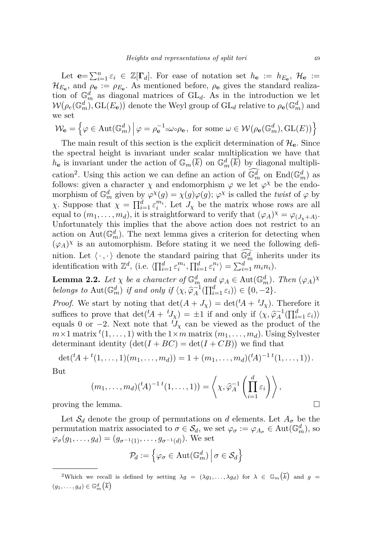Let  $\mathbf{e} = \sum_{i=1}^n \varepsilon_i \in \mathbb{Z}[\Gamma_d]$ . For ease of notation set  $h_{\mathbf{e}} := h_{E_{\mathbf{e}}}, \mathcal{H}_{\mathbf{e}} :=$  $\mathcal{H}_{E_{\mathbf{e}}}$ , and  $\rho_{\mathbf{e}} := \rho_{E_{\mathbf{e}}}$ . As mentioned before,  $\rho_{\mathbf{e}}$  gives the standard realization of  $\mathbb{G}_m^d$  as diagonal matrices of  $GL_d$ . As in the introduction we let  $W(\rho_e(\mathbb{G}_m^d), GL(E_{\bf e}))$  denote the Weyl group of  $GL_d$  relative to  $\rho_{\bf e}(\mathbb{G}_m^d)$  and we set

$$
\mathcal{W}_{\mathbf{e}} = \left\{ \varphi \in \text{Aut}(\mathbb{G}_m^d) \, \middle| \, \varphi = \rho_{\mathbf{e}}^{-1} \circ \omega \circ \rho_{\mathbf{e}}, \text{ for some } \omega \in \mathcal{W}(\rho_{\mathbf{e}}(\mathbb{G}_m^d), GL(E)) \right\}
$$

The main result of this section is the explicit determination of  $\mathcal{H}_{e}$ . Since the spectral height is invariant under scalar multiplication we have that  $h_{\mathbf{e}}$  is invariant under the action of  $\mathbb{G}_m(\overline{k})$  on  $\mathbb{G}_m^d(\overline{k})$  by diagonal multiplication<sup>2</sup>. Using this action we can define an action of  $\widehat{\mathbb{G}_m^d}$  on  $\text{End}(\mathbb{G}_m^d)$  as follows: given a character  $\chi$  and endomorphism  $\varphi$  we let  $\varphi^{\chi}$  be the endomorphism of  $\mathbb{G}_m^d$  given by  $\varphi^{\chi}(g) = \chi(g)\varphi(g);$   $\varphi^{\chi}$  is called the *twist* of  $\varphi$  by *χ*. Suppose that  $\chi = \prod_{i=1}^d \varepsilon_i^{m_i}$ . Let  $J_{\chi}$  be the matrix whose rows are all equal to  $(m_1, \ldots, m_d)$ , it is straightforward to verify that  $(\varphi_A)^{\chi} = \varphi_{(J_{\chi} + A)}$ . Unfortunately this implies that the above action does not restrict to an action on  $\text{Aut}(\mathbb{G}_m^d)$ . The next lemma gives a criterion for detecting when  $(\varphi_A)^{\chi}$  is an automorphism. Before stating it we need the following definition. Let  $\langle \cdot, \cdot \rangle$  denote the standard pairing that  $\widehat{\mathbb{G}_m^d}$  inherits under its identification with  $\mathbb{Z}^d$ , (i.e.  $\langle \prod_{i=1}^d \varepsilon_i^{m_i}, \prod_{i=1}^d \varepsilon_i^{n_i} \rangle = \sum_{i=1}^d m_i n_i$ ).

<span id="page-9-0"></span>**Lemma 2.2.** *Let*  $\chi$  *be a character of*  $\mathbb{G}_m^d$  *and*  $\varphi_A \in \text{Aut}(\mathbb{G}_m^d)$ *. Then*  $(\varphi_A)^{\chi}$ *belongs to*  $Aut(\mathbb{G}_m^d)$  *if and only if*  $\langle \chi, \hat{\varphi}_A^{-1}(\prod_{i=1}^d \varepsilon_i) \rangle \in \{0, -2\}.$ 

*Proof.* We start by noting that  $\det(A + J_\chi) = \det({}^t A + {}^t J_\chi)$ . Therefore it suffices to prove that  $\det^{t} (A + {}^{t}J_{\chi}) = \pm 1$  if and only if  $\langle \chi, \hat{\varphi}_{A}^{-1} (\Pi_{i=1}^{d} \varepsilon_{i}) \rangle$ equals 0 or  $-2$ . Next note that  ${}^tJ_\chi$  can be viewed as the product of the  $m \times 1$  matrix  ${}^t(1,\ldots,1)$  with the  $1 \times m$  matrix  $(m_1,\ldots,m_d)$ . Using Sylvester determinant identity  $(\det(I + BC) = \det(I + CB))$  we find that

$$
\det({}^t A + {}^t (1, \ldots, 1)(m_1, \ldots, m_d)) = 1 + (m_1, \ldots, m_d)({}^t A)^{-1} {}^t (1, \ldots, 1)).
$$

But

$$
(m_1, \ldots, m_d)(t)^{-1} (1, \ldots, 1)) = \left\langle \chi, \widehat{\varphi}_A^{-1} \left( \prod_{i=1}^d \varepsilon_i \right) \right\rangle,
$$
 proving the lemma.

Let  $S_d$  denote the group of permutations on *d* elements. Let  $A_\sigma$  be the permutation matrix associated to  $\sigma \in \mathcal{S}_d$ , we set  $\varphi_{\sigma} := \varphi_{A_{\sigma}} \in \text{Aut}(\mathbb{G}_m^d)$ , so  $\varphi_{\sigma}(g_1, \ldots, g_d) = (g_{\sigma^{-1}(1)}, \ldots, g_{\sigma^{-1}(d)})$ . We set

$$
\mathcal{P}_d := \left\{ \varphi_\sigma \in \text{Aut}(\mathbb{G}_m^d) \, \middle| \, \sigma \in \mathcal{S}_d \right\}
$$

<sup>&</sup>lt;sup>2</sup>Which we recall is defined by setting  $\lambda g = (\lambda g_1, \dots, \lambda g_d)$  for  $\lambda \in \mathbb{G}_m(\overline{k})$  and  $g =$  $(g_1, \ldots, g_d) \in \mathbb{G}_m^d(\overline{k})$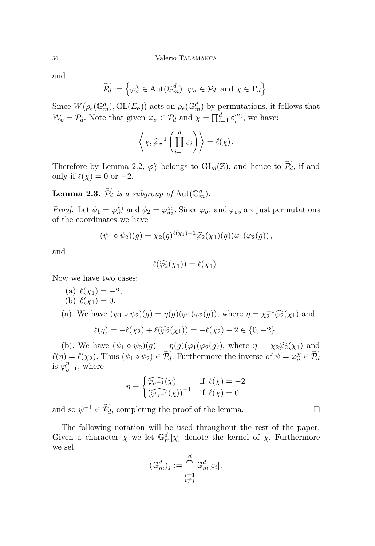and

$$
\widetilde{\mathcal{P}_d} := \left\{ \varphi_{\sigma}^{\chi} \in \text{Aut}(\mathbb{G}_m^d) \, \middle| \, \varphi_{\sigma} \in \mathcal{P}_d \text{ and } \chi \in \Gamma_d \right\}.
$$

Since  $W(\rho_e(\mathbb{G}_m^d), GL(E_{\mathbf{e}}))$  acts on  $\rho_e(\mathbb{G}_m^d)$  by permutations, it follows that  $\mathcal{W}_e = \mathcal{P}_d$ . Note that given  $\varphi_{\sigma} \in \mathcal{P}_d$  and  $\chi = \prod_{i=1}^d \varepsilon_i^{m_i}$ , we have:

$$
\left\langle \chi, \widehat{\varphi}_{\sigma}^{-1} \left( \prod_{i=1}^d \varepsilon_i \right) \right\rangle = \ell(\chi).
$$

Therefore by Lemma [2.2,](#page-9-0)  $\varphi_{\sigma}^{\chi}$  belongs to  $GL_d(\mathbb{Z})$ , and hence to  $\widetilde{\mathcal{P}_d}$ , if and only if  $\ell(\chi) = 0$  or  $-2$ .

**Lemma 2.3.**  $\widetilde{\mathcal{P}_d}$  *is a subgroup of*  $\text{Aut}(\mathbb{G}_m^d)$ *.* 

*Proof.* Let  $\psi_1 = \varphi_{\sigma_1}^{\chi_1}$  and  $\psi_2 = \varphi_{\sigma_2}^{\chi_2}$ . Since  $\varphi_{\sigma_1}$  and  $\varphi_{\sigma_2}$  are just permutations of the coordinates we have

$$
(\psi_1 \circ \psi_2)(g) = \chi_2(g)^{\ell(\chi_1)+1} \widehat{\varphi_2}(\chi_1)(g) (\varphi_1(\varphi_2(g)),
$$

and

$$
\ell(\widehat{\varphi_2}(\chi_1))=\ell(\chi_1).
$$

<span id="page-10-0"></span>Now we have two cases:

<span id="page-10-1"></span>(a) 
$$
\ell(\chi_1) = -2
$$
, \n(b)  $\ell(\chi_1) = 0$ . \n(a). We have  $(\psi_1 \circ \psi_2)(g) = \eta(g)(\varphi_1(\varphi_2(g)),$  where  $\eta = \chi_2^{-1} \widehat{\varphi_2}(\chi_1)$  and  $\ell(\eta) = -\ell(\chi_2) + \ell(\widehat{\varphi_2}(\chi_1)) = -\ell(\chi_2) - 2 \in \{0, -2\}$ .

[\(b\)](#page-10-1). We have  $(\psi_1 \circ \psi_2)(g) = \eta(g)(\varphi_1(\varphi_2(g)),$  where  $\eta = \chi_2 \widehat{\varphi_2}(\chi_1)$  and  $\ell(\eta) = \ell(\chi_2)$ . Thus  $(\psi_1 \circ \psi_2) \in \widetilde{\mathcal{P}_d}$ . Furthermore the inverse of  $\psi = \varphi_{\sigma}^{\chi} \in \widetilde{\mathcal{P}_d}$ is  $\varphi_{\sigma^{-1}}^{\eta}$ , where

$$
\eta = \begin{cases} \widehat{\varphi_{\sigma^{-1}}}(\chi) & \text{if } \ell(\chi) = -2\\ \widehat{(\varphi_{\sigma^{-1}}}(\chi))^{-1} & \text{if } \ell(\chi) = 0 \end{cases}
$$

and so  $\psi^{-1} \in \widetilde{\mathcal{P}_d}$ , completing the proof of the lemma.

The following notation will be used throughout the rest of the paper. Given a character  $\chi$  we let  $\mathbb{G}_m^d[\chi]$  denote the kernel of  $\chi$ . Furthermore we set

$$
(\mathbb{G}_m^d)_j := \bigcap_{\substack{i=1 \\ i \neq j}}^d \mathbb{G}_m^d[\varepsilon_i].
$$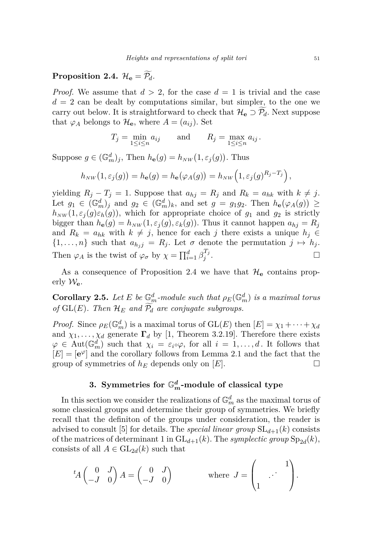## <span id="page-11-1"></span>**Proposition 2.4.**  $\mathcal{H}_e = \widetilde{\mathcal{P}_d}$ .

*Proof.* We assume that  $d > 2$ , for the case  $d = 1$  is trivial and the case  $d = 2$  can be dealt by computations similar, but simpler, to the one we carry out below. It is straightforward to check that  $\mathcal{H}_e \supset \mathcal{P}_d$ . Next suppose that  $\varphi_A$  belongs to  $\mathcal{H}_e$ , where  $A = (a_{ij})$ . Set

$$
T_j = \min_{1 \le i \le n} a_{ij} \quad \text{and} \quad R_j = \max_{1 \le i \le n} a_{ij}.
$$

Suppose  $g \in (\mathbb{G}_m^d)_j$ , Then  $h_{\mathbf{e}}(g) = h_{NW}(1, \varepsilon_j(g))$ . Thus

$$
h_{NW}(1, \varepsilon_j(g)) = h_{\mathbf{e}}(g) = h_{\mathbf{e}}(\varphi_A(g)) = h_{NW}\left(1, \varepsilon_j(g)^{R_j - T_j}\right),
$$

yielding  $R_i - T_j = 1$ . Suppose that  $a_{hj} = R_j$  and  $R_k = a_{hk}$  with  $k \neq j$ . Let  $g_1 \in (\mathbb{G}_m^d)_j$  and  $g_2 \in (\mathbb{G}_m^d)_k$ , and set  $g = g_1g_2$ . Then  $h_{\mathbf{e}}(\varphi_A(g)) \ge$  $h_{NW}(1, \varepsilon_i(g)\varepsilon_h(g))$ , which for appropriate choice of  $g_1$  and  $g_2$  is strictly bigger than  $h_{\mathbf{e}}(g) = h_{NW}(1, \varepsilon_j(g), \varepsilon_k(g))$ . Thus it cannot happen  $a_{hj} = R_j$ and  $R_k = a_{hk}$  with  $k \neq j$ , hence for each *j* there exists a unique  $h_j \in$  $\{1, \ldots, n\}$  such that  $a_{h,j} = R_j$ . Let  $\sigma$  denote the permutation  $j \mapsto h_j$ . Then  $\varphi_A$  is the twist of  $\varphi_{\sigma}$  by  $\chi = \prod_{i=1}^d \beta_i^{T_j}$ *j* .

As a consequence of Proposition [2.4](#page-11-1) we have that  $\mathcal{H}_e$  contains properly  $\mathcal{W}_{\mathbf{e}}$ .

**Corollary 2.5.** Let E be  $\mathbb{G}_m^d$ -module such that  $\rho_E(\mathbb{G}_m^d)$  is a maximal torus *of*  $GL(E)$ . Then  $\mathcal{H}_E$  and  $\widetilde{\mathcal{P}_d}$  are conjugate subgroups.

*Proof.* Since  $\rho_E(\mathbb{G}_m^d)$  is a maximal torus of  $GL(E)$  then  $[E] = \chi_1 + \cdots + \chi_d$ and  $\chi_1, \ldots, \chi_d$  generate  $\Gamma_d$  by [\[1,](#page-16-12) Theorem 3.2.19]. Therefore there exists  $\varphi \in \text{Aut}(\mathbb{G}_m^d)$  such that  $\chi_i = \varepsilon_i \circ \varphi$ , for all  $i = 1, \ldots, d$ . It follows that  $[E] = [e^{\varphi}]$  and the corollary follows from Lemma [2.1](#page-8-1) and the fact that the group of symmetries of  $h_E$  depends only on  $[E]$ .

## **3.** Symmetries for  $\mathbb{G}_m^d$ -module of classical type

<span id="page-11-0"></span>In this section we consider the realizations of  $\mathbb{G}_m^d$  as the maximal torus of some classical groups and determine their group of symmetries. We briefly recall that the definiton of the groups under consideration, the reader is advised to consult [\[5\]](#page-16-3) for details. The *special linear group*  $SL_{d+1}(k)$  consists of the matrices of determinant 1 in  $GL_{d+1}(k)$ . The *symplectic group*  $Sp_{2d}(k)$ , consists of all  $A \in GL_{2d}(k)$  such that

$$
{}^{t}A\begin{pmatrix} 0 & J \\ -J & 0 \end{pmatrix} A = \begin{pmatrix} 0 & J \\ -J & 0 \end{pmatrix} \qquad \text{where } J = \begin{pmatrix} 1 \\ 1 \end{pmatrix}.
$$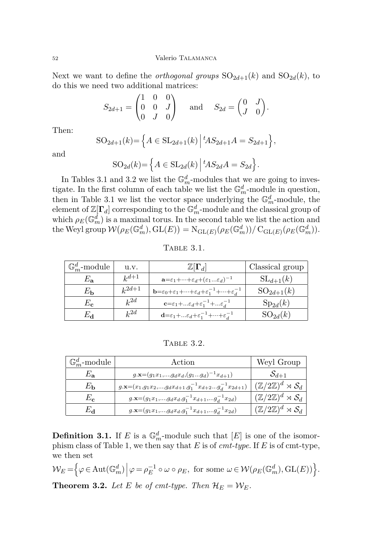Next we want to define the *orthogonal groups*  $SO_{2d+1}(k)$  and  $SO_{2d}(k)$ , to do this we need two additional matrices:

$$
S_{2d+1} = \begin{pmatrix} 1 & 0 & 0 \\ 0 & 0 & J \\ 0 & J & 0 \end{pmatrix} \text{ and } S_{2d} = \begin{pmatrix} 0 & J \\ J & 0 \end{pmatrix}.
$$

Then:

$$
SO_{2d+1}(k) = \left\{ A \in SL_{2d+1}(k) \mid {}^{t}AS_{2d+1}A = S_{2d+1} \right\},\
$$

and

$$
SO_{2d}(k) = \left\{ A \in SL_{2d}(k) \middle| {}^{t}AS_{2d}A = S_{2d} \right\}.
$$

In Tables [3.1](#page-12-1) and [3.2](#page-12-2) we list the  $\mathbb{G}_m^d$ -modules that we are going to investigate. In the first column of each table we list the  $\mathbb{G}_m^d$ -module in question, then in Table [3.1](#page-12-1) we list the vector space underlying the  $\mathbb{G}_m^d$ -module, the element of  $\mathbb{Z}[\Gamma_d]$  corresponding to the  $\mathbb{G}_m^d$ -module and the classical group of which  $\rho_E(\mathbb{G}_m^d)$  is a maximal torus. In the second table we list the action and  $\text{the Weyl group } \mathcal{W}(\rho_E(\mathbb{G}_m^d), \text{GL}(E)) = \text{N}_{\text{GL}(E)}(\rho_E(\mathbb{G}_m^d))/\text{C}_{\text{GL}(E)}(\rho_E(\mathbb{G}_m^d)).$ 

<span id="page-12-1"></span>

| <b>TABLE</b> | . O. |  |
|--------------|------|--|
|              |      |  |

| $\mathbb{G}_m^d$ -module | u.v.       | $\mathbb{Z}[\Gamma_d]$                                                                                                 | Classical group |
|--------------------------|------------|------------------------------------------------------------------------------------------------------------------------|-----------------|
| $E_{\bf a}$              | $k^{d+1}$  | $\mathbf{a}{=}\varepsilon_1{+}{\cdots}{+}\varepsilon_d{+}(\varepsilon_1{}\varepsilon_d)^{-1}$                          | $SL_{d+1}(k)$   |
| $E_{\bf h}$              | $k^{2d+1}$ | $\mathbf{b} = \varepsilon_0 + \varepsilon_1 + \dots + \varepsilon_d + \varepsilon_1^{-1} + \dots + \varepsilon_d^{-1}$ | $SO_{2d+1}(k)$  |
| $E_{\mathbf{c}}$         | $k^{2d}$   | $c = \varepsilon_1 +  \varepsilon_d + \varepsilon_1^{-1} +  \varepsilon_d^{-1}$                                        | $Sp_{2d}(k)$    |
| Eа                       | $k^{2d}$   | $\mathbf{d} = \varepsilon_1 +  \varepsilon_d + \varepsilon_1^{-1} +  + \varepsilon_d^{-1}$                             | $SO_{2d}(k)$    |

<span id="page-12-2"></span>Table 3.2.

| $\mathbb{G}_m^d$ -module | Action                                                                        | Weyl Group                                         |
|--------------------------|-------------------------------------------------------------------------------|----------------------------------------------------|
| $E_{\bf a}$              | $g.\mathbf{x} = (g_1x_1,\ldots,g_dx_d,(g_1g_d)^{-1}x_{d+1})$                  | $S_{d+1}$                                          |
| $E_{\bf b}$              | $g.\mathbf{x} = (x_1,g_1x_2,,g_dx_{d+1},g_1^{-1}x_{d+2}g_d^{-1}x_{2d+1})$     | $(\mathbb{Z}/2\mathbb{Z})^d \rtimes \mathcal{S}_d$ |
| $E_{\rm c}$              | $g.\mathbf{x} = (g_1x_1,\ldots,g_dx_d,g_1^{-1}x_{d+1},\ldots,g_d^{-1}x_{2d})$ | $(\mathbb{Z}/2\mathbb{Z})^d \rtimes \mathcal{S}_d$ |
| Eа                       | $g.\mathbf{x} = (g_1x_1,,g_dx_d,g_1^{-1}x_{d+1},g_d^{-1}x_{2d})$              | $(\mathbb{Z}/2\mathbb{Z})^d \rtimes \mathcal{S}_d$ |

**Definition 3.1.** If *E* is a  $\mathbb{G}_m^d$ -module such that  $[E]$  is one of the isomorphism class of Table 1, we then say that *E* is of *cmt-type*. If *E* is of cmt-type, we then set

<span id="page-12-0"></span> $\mathcal{W}_E = \left\{ \varphi \in \text{Aut}(\mathbb{G}_m^d) \, \middle| \, \varphi = \rho_E^{-1} \circ \omega \circ \rho_E, \text{ for some } \omega \in \mathcal{W}(\rho_E(\mathbb{G}_m^d), \text{GL}(E)) \right\}.$ **Theorem 3.2.** *Let E be of cmt-type. Then*  $\mathcal{H}_E = \mathcal{W}_E$ *.*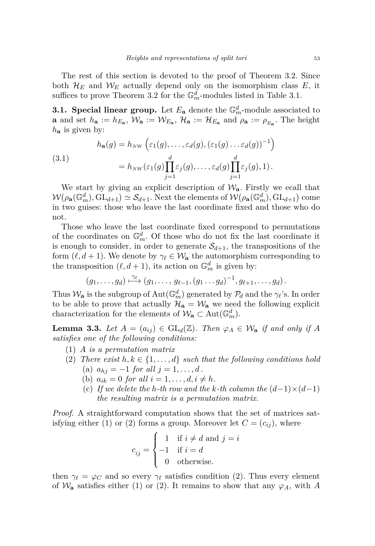The rest of this section is devoted to the proof of Theorem [3.2.](#page-12-0) Since both  $\mathcal{H}_E$  and  $\mathcal{W}_E$  actually depend only on the isomorphism class  $E$ , it suffices to prove Theorem [3.2](#page-12-0) for the  $\mathbb{G}_m^d$ -modules listed in Table [3.1.](#page-12-1)

**3.1. Special linear group.** Let  $E_{\mathbf{a}}$  denote the  $\mathbb{G}_m^d$ -module associated to **a** and set  $h_{\mathbf{a}} := h_{E_{\mathbf{a}}}$ ,  $\mathcal{W}_{\mathbf{a}} := \mathcal{W}_{E_{\mathbf{a}}}$ ,  $\mathcal{H}_{\mathbf{a}} := \mathcal{H}_{E_{\mathbf{a}}}$  and  $\rho_{\mathbf{a}} := \rho_{E_{\mathbf{a}}}$ . The height *h***<sup>a</sup>** is given by:

(3.1)  

$$
h_{\mathbf{a}}(g) = h_{NW} \left( \varepsilon_1(g), \dots, \varepsilon_d(g), (\varepsilon_1(g) \dots \varepsilon_d(g))^{-1} \right)
$$

$$
= h_{NW} (\varepsilon_1(g) \prod_{j=1}^d \varepsilon_j(g), \dots, \varepsilon_d(g) \prod_{j=1}^d \varepsilon_j(g), 1).
$$

We start by giving an explicit description of  $\mathcal{W}_a$ . Firstly we ecall that  $W(\rho_{\bf a}(\mathbb{G}_m^d), GL_{d+1}) \simeq S_{d+1}$ . Next the elements of  $W(\rho_{\bf a}(\mathbb{G}_m^d), GL_{d+1})$  come in two guises: those who leave the last coordinate fixed and those who do not.

Those who leave the last coordinate fixed correspond to permutations of the coordinates on  $\mathbb{G}_m^d$ . Of those who do not fix the last coordinate it is enough to consider, in order to generate  $S_{d+1}$ , the transpositions of the form  $(\ell, d + 1)$ . We denote by  $\gamma_{\ell} \in \mathcal{W}_a$  the automorphism corresponding to the transposition  $(\ell, d + 1)$ , its action on  $\mathbb{G}_m^d$  is given by:

$$
(g_1,\ldots,g_d)\stackrel{\gamma_{\ell}}{\longmapsto}(g_1,\ldots,g_{\ell-1},(g_1\ldots g_d)^{-1},g_{\ell+1},\ldots,g_d).
$$

Thus  $\mathcal{W}_a$  is the subgroup of  $\text{Aut}(\mathbb{G}_m^d)$  generated by  $\mathcal{P}_d$  and the  $\gamma_{\ell}$ 's. In order to be able to prove that actually  $\mathcal{H}_a = \mathcal{W}_a$  we need the following explicit characterization for the elements of  $\mathcal{W}_a \subset \text{Aut}(\mathbb{G}_m^d)$ .

**Lemma 3.3.** *Let*  $A = (a_{ij}) \in GL_d(\mathbb{Z})$ *. Then*  $\varphi_A \in \mathcal{W}_a$  *if and only if*  $A$ *satisfies one of the following conditions:*

- <span id="page-13-0"></span>(1) *A is a permutation matrix*
- <span id="page-13-1"></span>(2) *There exist*  $h, k \in \{1, \ldots, d\}$  *such that the following conditions hold* (a)  $a_{hj} = -1$  *for all*  $j = 1, ..., d$ .
	- (b)  $a_{ik} = 0$  *for all*  $i = 1, ..., d, i \neq h$ .
	- (c) If we delete the *h*-th row and the *k*-th column the  $(d-1)\times(d-1)$ *the resulting matrix is a permutation matrix.*

*Proof.* A straightforward computation shows that the set of matrices sat-isfying either [\(1\)](#page-13-0) or [\(2\)](#page-13-1) forms a group. Moreover let  $C = (c_{ij})$ , where

$$
c_{ij} = \begin{cases} 1 & \text{if } i \neq d \text{ and } j = i \\ -1 & \text{if } i = d \\ 0 & \text{otherwise.} \end{cases}
$$

then  $\gamma_{\ell} = \varphi_C$  and so every  $\gamma_{\ell}$  satisfies condition [\(2\)](#page-13-1). Thus every element of  $\mathcal{W}_a$  satisfies either [\(1\)](#page-13-0) or [\(2\)](#page-13-1). It remains to show that any  $\varphi_A$ , with A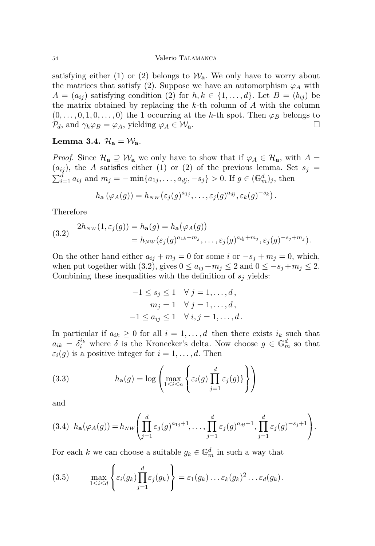satisfying either [\(1\)](#page-13-0) or [\(2\)](#page-13-1) belongs to  $\mathcal{W}_a$ . We only have to worry about the matrices that satisfy [\(2\)](#page-13-1). Suppose we have an automorphism  $\varphi_A$  with  $A = (a_{ij})$  satisfying condition [\(2\)](#page-13-1) for  $h, k \in \{1, \ldots, d\}$ . Let  $B = (b_{ij})$  be the matrix obtained by replacing the *k*-th column of *A* with the column  $(0, \ldots, 0, 1, 0, \ldots, 0)$  the 1 occurring at the *h*-th spot. Then  $\varphi_B$  belongs to  $\mathcal{P}_d$ , and  $\gamma_h \varphi_B = \varphi_A$ , yielding  $\varphi_A \in \mathcal{W}_a$ .

Lemma 3.4.  $\mathcal{H}_a = \mathcal{W}_a$ .

*Proof.* Since  $\mathcal{H}_a \supseteq \mathcal{W}_a$  we only have to show that if  $\varphi_A \in \mathcal{H}_a$ , with  $A =$  $(a_{ij})$ , the *A* satisfies either [\(1\)](#page-13-0) or [\(2\)](#page-13-1) of the previous lemma. Set  $s_j =$  $\sum_{i=1}^{d} a_{ij}$  and  $m_j = -\min\{a_{1j}, \ldots, a_{dj}, -s_j\} > 0$ . If  $g \in (\mathbb{G}_m^d)_j$ , then

$$
h_{\mathbf{a}}(\varphi_A(g))=h_{NW}(\varepsilon_j(g)^{a_{1j}},\ldots,\varepsilon_j(g)^{a_{dj}},\varepsilon_k(g)^{-s_k}).
$$

Therefore

<span id="page-14-0"></span>(3.2) 
$$
2h_{NW}(1, \varepsilon_j(g)) = h_{\mathbf{a}}(g) = h_{\mathbf{a}}(\varphi_A(g))
$$

$$
= h_{NW}(\varepsilon_j(g)^{a_{1k} + m_j}, \dots, \varepsilon_j(g)^{a_{dj} + m_j}, \varepsilon_j(g)^{-s_j + m_j}).
$$

On the other hand either  $a_{ij} + m_j = 0$  for some *i* or  $-s_j + m_j = 0$ , which, when put together with [\(3.2\)](#page-14-0), gives  $0 \le a_{ij} + m_j \le 2$  and  $0 \le -s_j + m_j \le 2$ . Combining these inequalities with the definition of  $s_j$  yields:

$$
-1 \le s_j \le 1 \quad \forall j = 1, ..., d,
$$
  
\n
$$
m_j = 1 \quad \forall j = 1, ..., d,
$$
  
\n
$$
-1 \le a_{ij} \le 1 \quad \forall i, j = 1, ..., d.
$$

In particular if  $a_{ik} \geq 0$  for all  $i = 1, \ldots, d$  then there exists  $i_k$  such that  $a_{ik} = \delta_i^{i_k}$  where  $\delta$  is the Kronecker's delta. Now choose  $g \in \mathbb{G}_m^d$  so that  $\varepsilon_i(g)$  is a positive integer for  $i = 1, \ldots, d$ . Then

<span id="page-14-1"></span>(3.3) 
$$
h_{\mathbf{a}}(g) = \log \left( \max_{1 \leq i \leq n} \left\{ \varepsilon_i(g) \prod_{j=1}^d \varepsilon_j(g) \right\} \right)
$$

and

<span id="page-14-2"></span>
$$
(3.4) \ \ h_{\mathbf{a}}(\varphi_A(g)) = h_{NW} \left( \prod_{j=1}^d \varepsilon_j(g)^{a_{1j}+1}, \dots, \prod_{j=1}^d \varepsilon_j(g)^{a_{dj}+1}, \prod_{j=1}^d \varepsilon_j(g)^{-s_j+1} \right).
$$

For each *k* we can choose a suitable  $g_k \in \mathbb{G}_m^d$  in such a way that

<span id="page-14-3"></span>(3.5) 
$$
\max_{1 \leq i \leq d} \left\{ \varepsilon_i(g_k) \prod_{j=1}^d \varepsilon_j(g_k) \right\} = \varepsilon_1(g_k) \dots \varepsilon_k(g_k)^2 \dots \varepsilon_d(g_k).
$$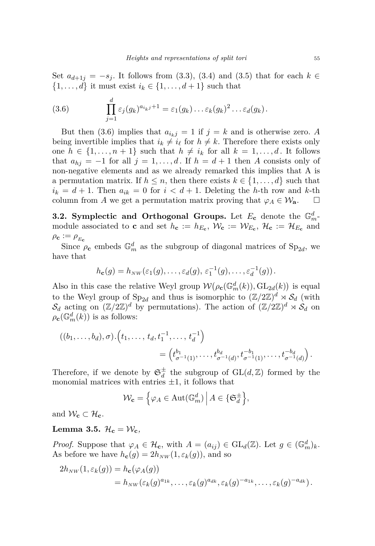Set  $a_{d+1j} = -s_j$ . It follows from [\(3.3\)](#page-14-1), [\(3.4\)](#page-14-2) and [\(3.5\)](#page-14-3) that for each  $k \in$  $\{1, \ldots, d\}$  it must exist  $i_k \in \{1, \ldots, d+1\}$  such that

<span id="page-15-0"></span>(3.6) 
$$
\prod_{j=1}^d \varepsilon_j(g_k)^{a_{i_kj}+1} = \varepsilon_1(g_k) \dots \varepsilon_k(g_k)^2 \dots \varepsilon_d(g_k).
$$

But then [\(3.6\)](#page-15-0) implies that  $a_{i_kj} = 1$  if  $j = k$  and is otherwise zero. A being invertible implies that  $i_k \neq i_\ell$  for  $h \neq k$ . Therefore there exists only one  $h \in \{1, \ldots, n+1\}$  such that  $h \neq i_k$  for all  $k = 1, \ldots, d$ . It follows that  $a_{hj} = -1$  for all  $j = 1, \ldots, d$ . If  $h = d + 1$  then A consists only of non-negative elements and as we already remarked this implies that A is a permutation matrix. If  $h \leq n$ , then there exists  $k \in \{1, \ldots, d\}$  such that  $i_k = d + 1$ . Then  $a_{ik} = 0$  for  $i < d + 1$ . Deleting the *h*-th row and *k*-th column from *A* we get a permutation matrix proving that  $\varphi_A \in \mathcal{W}_a$ .  $\square$ 

**3.2.** Symplectic and Orthogonal Groups. Let  $E_c$  denote the  $\mathbb{G}_m^d$ module associated to **c** and set  $h_c := h_{E_c}$ ,  $\mathcal{W}_c := \mathcal{W}_{E_c}$ ,  $\mathcal{H}_c := \mathcal{H}_{E_c}$  and  $\rho_{\mathbf{c}} := \rho_{E_{\mathbf{c}}}$ 

Since  $\rho_c$  embeds  $\mathbb{G}_m^d$  as the subgroup of diagonal matrices of  $Sp_{2d}$ , we have that

$$
h_{\mathbf{c}}(g) = h_{NW}(\varepsilon_1(g), \dots, \varepsilon_d(g), \varepsilon_1^{-1}(g), \dots, \varepsilon_d^{-1}(g)).
$$

Also in this case the relative Weyl group  $W(\rho_{\mathbf{c}}(\mathbb{G}_m^d(k)), GL_{2d}(k))$  is equal to the Weyl group of  $Sp_{2d}$  and thus is isomorphic to  $(\mathbb{Z}/2\mathbb{Z})^d \rtimes \mathcal{S}_d$  (with  $S_d$  acting on  $(\mathbb{Z}/2\mathbb{Z})^d$  by permutations). The action of  $(\mathbb{Z}/2\mathbb{Z})^d \rtimes S_d$  on  $\rho_{\mathbf{c}}(\mathbb{G}_m^d(k))$  is as follows:

$$
((b_1, \ldots, b_d), \sigma) \cdot (t_1, \ldots, t_d, t_1^{-1}, \ldots, t_d^{-1})
$$
  
= 
$$
(t_{\sigma^{-1}(1)}^{b_1}, \ldots, t_{\sigma^{-1}(d)}^{b_d}, t_{\sigma^{-1}(1)}^{-b_1}, \ldots, t_{\sigma^{-1}(d)}^{-b_d}).
$$

Therefore, if we denote by  $\mathfrak{S}^{\pm}_{d}$  $\frac{1}{d}$  the subgroup of  $GL(d, \mathbb{Z})$  formed by the monomial matrices with entries  $\pm 1$ , it follows that

$$
\mathcal{W}_{\mathbf{c}} = \left\{ \varphi_A \in \text{Aut}(\mathbb{G}_m^d) \, \middle| \, A \in \{ \mathfrak{S}_d^{\pm} \right\},\
$$

and  $W_{\mathbf{c}} \subset \mathcal{H}_{\mathbf{c}}$ .

### <span id="page-15-1"></span>**Lemma 3.5.**  $\mathcal{H}_c = \mathcal{W}_c$

*Proof.* Suppose that  $\varphi_A \in \mathcal{H}_c$ , with  $A = (a_{ij}) \in GL_d(\mathbb{Z})$ . Let  $g \in (\mathbb{G}_m^d)_k$ . As before we have  $h_{\mathbf{c}}(g) = 2h_{NW}(1, \varepsilon_k(g))$ , and so

$$
2h_{NW}(1,\varepsilon_k(g)) = h_{\mathbf{c}}(\varphi_A(g))
$$
  
=  $h_{NW}(\varepsilon_k(g)^{a_{1k}},\ldots,\varepsilon_k(g)^{a_{dk}},\varepsilon_k(g)^{-a_{1k}},\ldots,\varepsilon_k(g)^{-a_{dk}}).$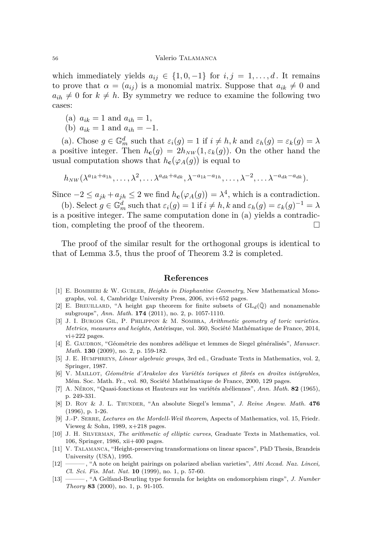which immediately yields  $a_{ij} \in \{1,0,-1\}$  for  $i, j = 1, \ldots, d$ . It remains to prove that  $\alpha = (a_{ij})$  is a monomial matrix. Suppose that  $a_{ik} \neq 0$  and  $a_{ih} \neq 0$  for  $k \neq h$ . By symmetry we reduce to examine the following two cases:

- <span id="page-16-13"></span>(a)  $a_{ik} = 1$  and  $a_{ih} = 1$ ,
- <span id="page-16-14"></span>(b)  $a_{ik} = 1$  and  $a_{ih} = -1$ .

[\(a\)](#page-16-13). Chose  $g \in \mathbb{G}_m^d$  such that  $\varepsilon_i(g) = 1$  if  $i \neq h, k$  and  $\varepsilon_h(g) = \varepsilon_k(g) = \lambda$ a positive integer. Then  $h_{\mathbf{c}}(g) = 2h_{NW}(1, \varepsilon_k(g))$ . On the other hand the usual computation shows that  $h_{\mathbf{c}}(\varphi_A(g))$  is equal to

$$
h_{NW}(\lambda^{a_{1k}+a_{1h}},\ldots,\lambda^2,\ldots\lambda^{a_{dk}+a_{dk}},\lambda^{-a_{1k}-a_{1h}},\ldots,\lambda^{-2},\ldots\lambda^{-a_{dk}-a_{dk}}).
$$

Since  $-2 \le a_{jk} + a_{jh} \le 2$  we find  $h_{\mathbf{c}}(\varphi_A(g)) = \lambda^4$ , which is a contradiction.

[\(b\)](#page-16-14). Select  $g \in \mathbb{G}_m^d$  such that  $\varepsilon_i(g) = 1$  if  $i \neq h, k$  and  $\varepsilon_h(g) = \varepsilon_k(g)^{-1} = \lambda$ is a positive integer. The same computation done in [\(a\)](#page-16-13) yields a contradiction, completing the proof of the theorem.

The proof of the similar result for the orthogonal groups is identical to that of Lemma [3.5,](#page-15-1) thus the proof of Theorem [3.2](#page-12-0) is completed.

#### **References**

- <span id="page-16-12"></span>[1] E. Bombieri & W. Gubler, *Heights in Diophantine Geometry*, New Mathematical Monographs, vol. 4, Cambridge University Press, 2006, xvi+652 pages.
- <span id="page-16-10"></span>[2] E. BREUILLARD, "A height gap theorem for finite subsets of  $GL_d(\overline{\mathbb{Q}})$  and nonamenable subgroups", *Ann. Math.* **174** (2011), no. 2, p. 1057-1110.
- <span id="page-16-5"></span>[3] J. I. Burgos Gil, P. Philippon & M. Sombra, *Arithmetic geometry of toric varieties. Metrics, measures and heights*, Astérisque, vol. 360, Société Mathématique de France, 2014, vi+222 pages.
- <span id="page-16-9"></span>[4] É. Gaudron, "Géométrie des nombres adélique et lemmes de Siegel généralisés", *Manuscr. Math.* **130** (2009), no. 2, p. 159-182.
- <span id="page-16-3"></span>[5] J. E. Humphreys, *Linear algebraic groups*, 3rd ed., Graduate Texts in Mathematics, vol. 2, Springer, 1987.
- <span id="page-16-4"></span>[6] V. Maillot, *Géométrie d'Arakelov des Variétés toriques et fibrés en droites intégrables*, Mém. Soc. Math. Fr., vol. 80, Société Mathématique de France, 2000, 129 pages.
- <span id="page-16-0"></span>[7] A. Néron, "Quasi-fonctions et Hauteurs sur les variétés abéliennes", *Ann. Math.* **82** (1965), p. 249-331.
- <span id="page-16-8"></span>[8] D. Roy & J. L. Thunder, "An absolute Siegel's lemma", *J. Reine Angew. Math.* **476** (1996), p. 1-26.
- <span id="page-16-11"></span>[9] J.-P. Serre, *Lectures on the Mordell-Weil theorem*, Aspects of Mathematics, vol. 15, Friedr. Vieweg & Sohn, 1989, x+218 pages.
- <span id="page-16-6"></span>[10] J. H. Silverman, *The arithmetic of elliptic curves*, Graduate Texts in Mathematics, vol. 106, Springer, 1986, xii+400 pages.
- <span id="page-16-1"></span>[11] V. Talamanca, "Height-preserving transformations on linear spaces", PhD Thesis, Brandeis University (USA), 1995.
- <span id="page-16-2"></span>[12] ——— , "A note on height pairings on polarized abelian varieties", *Atti Accad. Naz. Lincei, Cl. Sci. Fis. Mat. Nat.* **10** (1999), no. 1, p. 57-60.
- <span id="page-16-7"></span>[13] ——— , "A Gelfand-Beurling type formula for heights on endomorphism rings", *J. Number Theory* **83** (2000), no. 1, p. 91-105.